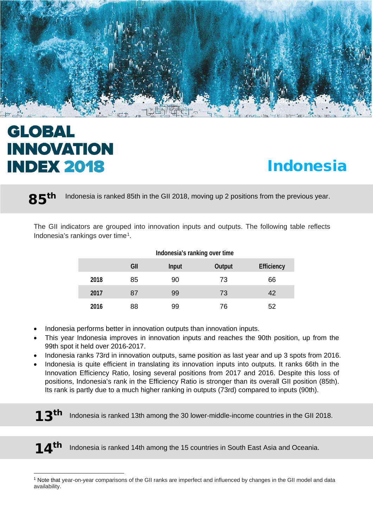

# **GLOBAL INNOVATION INDEX 2018**

l

# Indonesia

85<sup>th</sup> Indonesia is ranked 85th in the GII 2018, moving up 2 positions from the previous year.

The GII indicators are grouped into innovation inputs and outputs. The following table reflects Indonesia's rankings over time[1.](#page-0-0)

|      | Indonesia's ranking over time |              |               |                   |  |  |  |
|------|-------------------------------|--------------|---------------|-------------------|--|--|--|
|      | GII                           | <b>Input</b> | <b>Output</b> | <b>Efficiency</b> |  |  |  |
| 2018 | 85                            | 90           | 73            | 66                |  |  |  |
| 2017 | 87                            | 99           | 73            | 42                |  |  |  |
| 2016 | 88                            | 99           | 76            | 52                |  |  |  |

- Indonesia performs better in innovation outputs than innovation inputs.
- This year Indonesia improves in innovation inputs and reaches the 90th position, up from the 99th spot it held over 2016-2017.
- Indonesia ranks 73rd in innovation outputs, same position as last year and up 3 spots from 2016.
- Indonesia is quite efficient in translating its innovation inputs into outputs. It ranks 66th in the Innovation Efficiency Ratio, losing several positions from 2017 and 2016. Despite this loss of positions, Indonesia's rank in the Efficiency Ratio is stronger than its overall GII position (85th). Its rank is partly due to a much higher ranking in outputs (73rd) compared to inputs (90th).

Indonesia is ranked 13th among the 30 lower-middle-income countries in the GII 2018.

14<sup>th</sup> Indonesia is ranked 14th among the 15 countries in South East Asia and Oceania.

<span id="page-0-0"></span><sup>1</sup> Note that year-on-year comparisons of the GII ranks are imperfect and influenced by changes in the GII model and data availability.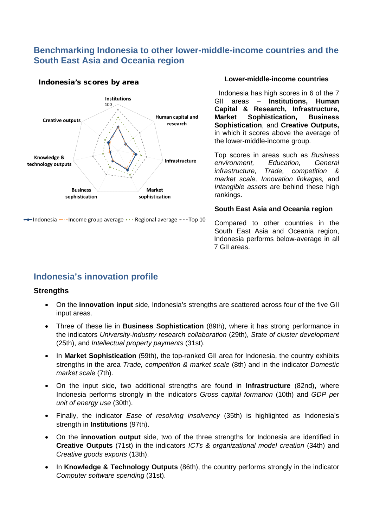## **Benchmarking Indonesia to other lower-middle-income countries and the South East Asia and Oceania region**



Indonesia's scores by area

 $\rightarrow$  Indonesia  $\rightarrow$  -Income group average  $\cdots$  Regional average  $\rightarrow$ -Top 10

#### **Lower-middle-income countries**

Indonesia has high scores in 6 of the 7 GII areas – **Institutions, Human Capital & Research, Infrastructure, Sophistication, Sophistication**, and **Creative Outputs,** in which it scores above the average of the lower-middle-income group.

Top scores in areas such as *Business environment, Education, General infrastructure, Trade, competition & market scale, Innovation linkages,* and *Intangible assets* are behind these high rankings.

#### **South East Asia and Oceania region**

Compared to other countries in the South East Asia and Oceania region, Indonesia performs below-average in all 7 GII areas.

## **Indonesia's innovation profile**

#### **Strengths**

- On the **innovation input** side, Indonesia's strengths are scattered across four of the five GII input areas.
- Three of these lie in **Business Sophistication** (89th), where it has strong performance in the indicators *University-industry research collaboration* (29th), *State of cluster development*  (25th), and *Intellectual property payments* (31st).
- In **Market Sophistication** (59th), the top-ranked GII area for Indonesia, the country exhibits strengths in the area *Trade, competition & market scale* (8th) and in the indicator *Domestic market scal*e (7th).
- On the input side, two additional strengths are found in **Infrastructure** (82nd), where Indonesia performs strongly in the indicators *Gross capital formation* (10th) and *GDP per unit of energy use* (30th).
- Finally, the indicator *Ease of resolving insolvency* (35th) is highlighted as Indonesia's strength in **Institutions** (97th).
- On the **innovation output** side, two of the three strengths for Indonesia are identified in **Creative Outputs** (71st) in the indicators *ICTs & organizational model creation* (34th) and *Creative goods exports* (13th).
- In **Knowledge & Technology Outputs** (86th), the country performs strongly in the indicator *Computer software spending* (31st).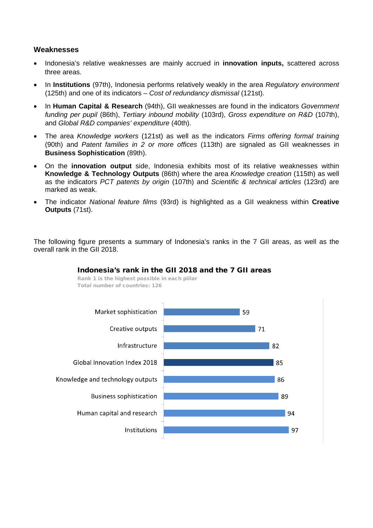### **Weaknesses**

- Indonesia's relative weaknesses are mainly accrued in **innovation inputs,** scattered across three areas.
- In **Institutions** (97th), Indonesia performs relatively weakly in the area *Regulatory environment*  (125th) and one of its indicators – *Cost of redundancy dismissal* (121st).
- In **Human Capital & Research** (94th), GII weaknesses are found in the indicators *Government funding per pupil* (86th), *Tertiary inbound mobility* (103rd), *Gross expenditure on R&D* (107th), and *Global R&D companies' expenditure* (40th).
- The area *Knowledge workers* (121st) as well as the indicators *Firms offering formal training* (90th) and *Patent families in 2 or more offices* (113th) are signaled as GII weaknesses in **Business Sophistication** (89th).
- On the **innovation output** side, Indonesia exhibits most of its relative weaknesses within **Knowledge & Technology Outputs** (86th) where the area *Knowledge creation* (115th) as well as the indicators *PCT patents by origin* (107th) and *Scientific & technical articles* (123rd) are marked as weak.
- The indicator *National feature films* (93rd) is highlighted as a GII weakness within **Creative Outputs** (71st).

The following figure presents a summary of Indonesia's ranks in the 7 GII areas, as well as the overall rank in the GII 2018.



#### Indonesia's rank in the GII 2018 and the 7 GII areas

Rank 1 is the highest possible in each pillar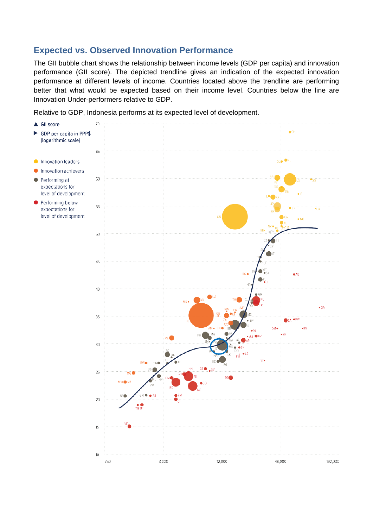# **Expected vs. Observed Innovation Performance**

The GII bubble chart shows the relationship between income levels (GDP per capita) and innovation performance (GII score). The depicted trendline gives an indication of the expected innovation performance at different levels of income. Countries located above the trendline are performing better that what would be expected based on their income level. Countries below the line are Innovation Under-performers relative to GDP.

Relative to GDP, Indonesia performs at its expected level of development.

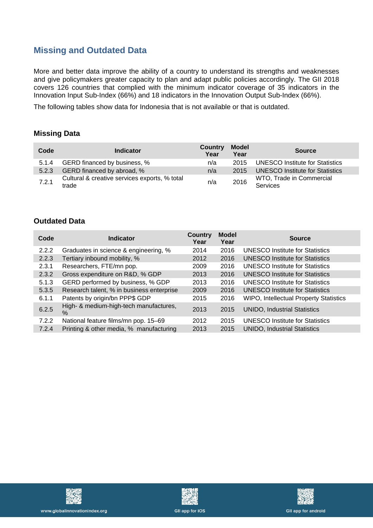# **Missing and Outdated Data**

More and better data improve the ability of a country to understand its strengths and weaknesses and give policymakers greater capacity to plan and adapt public policies accordingly. The GII 2018 covers 126 countries that complied with the minimum indicator coverage of 35 indicators in the Innovation Input Sub-Index (66%) and 18 indicators in the Innovation Output Sub-Index (66%).

The following tables show data for Indonesia that is not available or that is outdated.

#### **Missing Data**

| Code  | <b>Indicator</b>                                       | <b>Country</b><br>Year | <b>Model</b><br>Year | <b>Source</b>                               |
|-------|--------------------------------------------------------|------------------------|----------------------|---------------------------------------------|
| 5.1.4 | GERD financed by business, %                           | n/a                    | 2015                 | UNESCO Institute for Statistics             |
| 5.2.3 | GERD financed by abroad, %                             | n/a                    | 2015                 | UNESCO Institute for Statistics             |
| 7.2.1 | Cultural & creative services exports, % total<br>trade | n/a                    | 2016                 | WTO, Trade in Commercial<br><b>Services</b> |

### **Outdated Data**

| Code  | <b>Indicator</b>                               | Country<br>Year | <b>Model</b><br>Year | <b>Source</b>                                 |
|-------|------------------------------------------------|-----------------|----------------------|-----------------------------------------------|
| 2.2.2 | Graduates in science & engineering, %          | 2014            | 2016                 | UNESCO Institute for Statistics               |
| 2.2.3 | Tertiary inbound mobility, %                   | 2012            | 2016                 | <b>UNESCO Institute for Statistics</b>        |
| 2.3.1 | Researchers, FTE/mn pop.                       | 2009            | 2016                 | <b>UNESCO Institute for Statistics</b>        |
| 2.3.2 | Gross expenditure on R&D, % GDP                | 2013            | 2016                 | <b>UNESCO Institute for Statistics</b>        |
| 5.1.3 | GERD performed by business, % GDP              | 2013            | 2016                 | <b>UNESCO Institute for Statistics</b>        |
| 5.3.5 | Research talent, % in business enterprise      | 2009            | 2016                 | <b>UNESCO Institute for Statistics</b>        |
| 6.1.1 | Patents by origin/bn PPP\$ GDP                 | 2015            | 2016                 | <b>WIPO, Intellectual Property Statistics</b> |
| 6.2.5 | High- & medium-high-tech manufactures,<br>$\%$ | 2013            | 2015                 | UNIDO, Industrial Statistics                  |
| 7.2.2 | National feature films/mn pop. 15-69           | 2012            | 2015                 | UNESCO Institute for Statistics               |
| 7.2.4 | Printing & other media, % manufacturing        | 2013            | 2015                 | <b>UNIDO, Industrial Statistics</b>           |